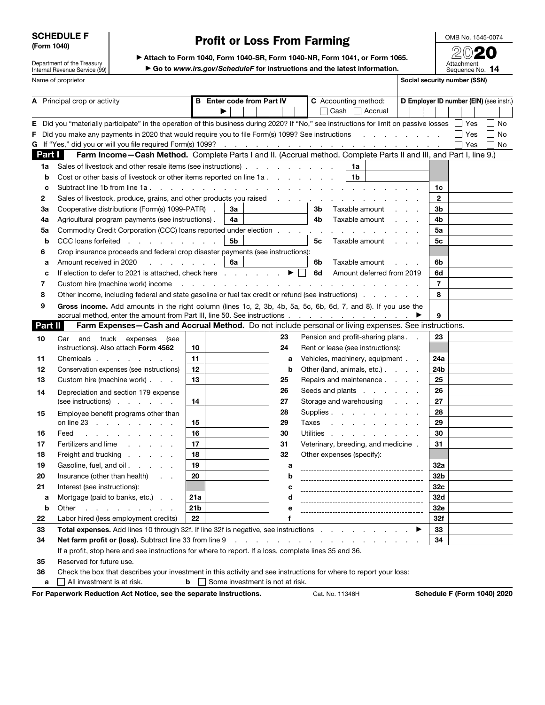SCHEDULE F (Form 1040)

Department of the Treasury Internal Revenue Service (99)

# Profit or Loss From Farming

OMB No. 1545-0074 2020

| Attach to Form 1040, Form 1040-SR, Form 1040-NR, Form 1041, or Form 1065.  |
|----------------------------------------------------------------------------|
| ► Go to www.irs.gov/ScheduleF for instructions and the latest information. |

Attachment<br>Sequence No. 14 Name of proprietor Social security number (SSN)

| A Principal crop or activity |                |                                                                                                                                                                                            | <b>Enter code from Part IV</b><br>в |                                                                                                                 |    |  |                                                                                                                                                                                                                                | C Accounting method:<br>Cash $\Box$ Accrual |       |                                                                                                                 |                |  |  | D Employer ID number (EIN) (see instr.) |  |                      |  |                |  |  |            |  |    |
|------------------------------|----------------|--------------------------------------------------------------------------------------------------------------------------------------------------------------------------------------------|-------------------------------------|-----------------------------------------------------------------------------------------------------------------|----|--|--------------------------------------------------------------------------------------------------------------------------------------------------------------------------------------------------------------------------------|---------------------------------------------|-------|-----------------------------------------------------------------------------------------------------------------|----------------|--|--|-----------------------------------------|--|----------------------|--|----------------|--|--|------------|--|----|
|                              |                |                                                                                                                                                                                            |                                     |                                                                                                                 |    |  |                                                                                                                                                                                                                                |                                             |       |                                                                                                                 |                |  |  |                                         |  |                      |  |                |  |  |            |  |    |
| Е.                           |                | Did you "materially participate" in the operation of this business during 2020? If "No," see instructions for limit on passive losses □ Yes                                                |                                     |                                                                                                                 |    |  |                                                                                                                                                                                                                                |                                             |       |                                                                                                                 |                |  |  |                                         |  |                      |  |                |  |  |            |  | No |
| F.                           |                | Did you make any payments in 2020 that would require you to file Form(s) 1099? See instructions                                                                                            |                                     |                                                                                                                 |    |  |                                                                                                                                                                                                                                |                                             |       |                                                                                                                 |                |  |  |                                         |  |                      |  |                |  |  | $\Box$ Yes |  | No |
|                              |                |                                                                                                                                                                                            |                                     |                                                                                                                 |    |  |                                                                                                                                                                                                                                |                                             |       |                                                                                                                 |                |  |  |                                         |  |                      |  |                |  |  | Yes        |  | No |
|                              | Part I         | Farm Income-Cash Method. Complete Parts I and II. (Accrual method. Complete Parts II and III, and Part I, line 9.)                                                                         |                                     |                                                                                                                 |    |  |                                                                                                                                                                                                                                |                                             |       |                                                                                                                 |                |  |  |                                         |  |                      |  |                |  |  |            |  |    |
|                              | 1a             | Sales of livestock and other resale items (see instructions)                                                                                                                               |                                     |                                                                                                                 |    |  |                                                                                                                                                                                                                                |                                             |       |                                                                                                                 | 1a             |  |  |                                         |  |                      |  |                |  |  |            |  |    |
|                              | b              | Cost or other basis of livestock or other items reported on line 1a                                                                                                                        |                                     |                                                                                                                 |    |  |                                                                                                                                                                                                                                |                                             |       |                                                                                                                 | 1 <sub>b</sub> |  |  |                                         |  |                      |  |                |  |  |            |  |    |
|                              | c              | Subtract line 1b from line 1a.<br>and the contract of the contract of the contract of the contract of the contract of                                                                      |                                     |                                                                                                                 |    |  |                                                                                                                                                                                                                                |                                             |       |                                                                                                                 |                |  |  |                                         |  |                      |  | 1c             |  |  |            |  |    |
|                              | 2              | Sales of livestock, produce, grains, and other products you raised                                                                                                                         |                                     |                                                                                                                 |    |  |                                                                                                                                                                                                                                |                                             |       | the contract of the contract of the contract of the contract of the contract of the contract of the contract of |                |  |  |                                         |  |                      |  | $\mathbf{2}$   |  |  |            |  |    |
|                              | За             | Cooperative distributions (Form(s) 1099-PATR) .                                                                                                                                            |                                     |                                                                                                                 | За |  |                                                                                                                                                                                                                                |                                             | 3b    |                                                                                                                 | Taxable amount |  |  |                                         |  | $\sim$ $\sim$ $\sim$ |  | 3b             |  |  |            |  |    |
|                              | 4a             | Agricultural program payments (see instructions).                                                                                                                                          |                                     |                                                                                                                 | 4a |  |                                                                                                                                                                                                                                |                                             | 4b    |                                                                                                                 | Taxable amount |  |  |                                         |  | $\sim$ $\sim$ $\sim$ |  | 4b             |  |  |            |  |    |
|                              | 5a             | Commodity Credit Corporation (CCC) loans reported under election                                                                                                                           |                                     |                                                                                                                 |    |  |                                                                                                                                                                                                                                |                                             |       |                                                                                                                 |                |  |  |                                         |  |                      |  | 5a             |  |  |            |  |    |
|                              | b              | CCC loans forfeited                                                                                                                                                                        |                                     |                                                                                                                 | 5b |  |                                                                                                                                                                                                                                |                                             | 5c    |                                                                                                                 | Taxable amount |  |  |                                         |  |                      |  | 5c             |  |  |            |  |    |
|                              | 6              | Crop insurance proceeds and federal crop disaster payments (see instructions):                                                                                                             |                                     |                                                                                                                 |    |  |                                                                                                                                                                                                                                |                                             |       |                                                                                                                 |                |  |  |                                         |  |                      |  |                |  |  |            |  |    |
|                              | а              | Amount received in 2020<br>$\mathcal{L}^{\mathcal{L}}$ , and $\mathcal{L}^{\mathcal{L}}$ , and $\mathcal{L}^{\mathcal{L}}$ , and                                                           |                                     |                                                                                                                 | 6a |  |                                                                                                                                                                                                                                |                                             | 6b    |                                                                                                                 | Taxable amount |  |  |                                         |  | $\sim$ $\sim$ $\sim$ |  | 6b             |  |  |            |  |    |
|                              | c              | If election to defer to 2021 is attached, check here $\ldots$ , $\blacktriangleright \Box$                                                                                                 |                                     |                                                                                                                 |    |  |                                                                                                                                                                                                                                |                                             | 6d    |                                                                                                                 |                |  |  | Amount deferred from 2019               |  |                      |  | 6d             |  |  |            |  |    |
|                              | 7              | Custom hire (machine work) income                                                                                                                                                          |                                     | the contract of the contract of the contract of the contract of the contract of the contract of the contract of |    |  |                                                                                                                                                                                                                                |                                             |       |                                                                                                                 |                |  |  |                                         |  |                      |  | $\overline{7}$ |  |  |            |  |    |
|                              | 8              | Other income, including federal and state gasoline or fuel tax credit or refund (see instructions)                                                                                         |                                     |                                                                                                                 |    |  |                                                                                                                                                                                                                                |                                             |       |                                                                                                                 |                |  |  |                                         |  |                      |  | 8              |  |  |            |  |    |
|                              | 9              | Gross income. Add amounts in the right column (lines 1c, 2, 3b, 4b, 5a, 5c, 6b, 6d, 7, and 8). If you use the<br>accrual method, enter the amount from Part III, line 50. See instructions |                                     |                                                                                                                 |    |  |                                                                                                                                                                                                                                |                                             |       |                                                                                                                 |                |  |  |                                         |  |                      |  | 9              |  |  |            |  |    |
|                              | <b>Part II</b> | Farm Expenses-Cash and Accrual Method. Do not include personal or living expenses. See instructions.                                                                                       |                                     |                                                                                                                 |    |  |                                                                                                                                                                                                                                |                                             |       |                                                                                                                 |                |  |  |                                         |  |                      |  |                |  |  |            |  |    |
|                              | 10             | Car and truck expenses<br>(see                                                                                                                                                             |                                     |                                                                                                                 |    |  |                                                                                                                                                                                                                                | 23                                          |       | Pension and profit-sharing plans                                                                                |                |  |  |                                         |  |                      |  | 23             |  |  |            |  |    |
|                              |                | instructions). Also attach Form 4562                                                                                                                                                       | 10                                  |                                                                                                                 |    |  |                                                                                                                                                                                                                                | 24                                          |       | Rent or lease (see instructions):                                                                               |                |  |  |                                         |  |                      |  |                |  |  |            |  |    |
|                              | 11             | Chemicals                                                                                                                                                                                  | 11                                  |                                                                                                                 |    |  |                                                                                                                                                                                                                                | a                                           |       | Vehicles, machinery, equipment                                                                                  |                |  |  |                                         |  |                      |  | 24a            |  |  |            |  |    |
|                              | 12             | Conservation expenses (see instructions)                                                                                                                                                   | 12                                  |                                                                                                                 |    |  |                                                                                                                                                                                                                                | b                                           |       | Other (land, animals, etc.)                                                                                     |                |  |  |                                         |  |                      |  | 24b            |  |  |            |  |    |
|                              | 13             | Custom hire (machine work)                                                                                                                                                                 | 13                                  |                                                                                                                 |    |  |                                                                                                                                                                                                                                | 25                                          |       | Repairs and maintenance                                                                                         |                |  |  |                                         |  |                      |  | 25             |  |  |            |  |    |
|                              | 14             | Depreciation and section 179 expense                                                                                                                                                       |                                     |                                                                                                                 |    |  |                                                                                                                                                                                                                                | 26                                          |       | Seeds and plants                                                                                                |                |  |  |                                         |  |                      |  | 26             |  |  |            |  |    |
|                              |                | (see instructions)                                                                                                                                                                         | 14                                  |                                                                                                                 |    |  |                                                                                                                                                                                                                                | 27                                          |       | Storage and warehousing                                                                                         |                |  |  |                                         |  |                      |  | 27             |  |  |            |  |    |
|                              | 15             | Employee benefit programs other than                                                                                                                                                       |                                     |                                                                                                                 |    |  |                                                                                                                                                                                                                                | 28                                          |       | Supplies                                                                                                        |                |  |  |                                         |  |                      |  | 28             |  |  |            |  |    |
|                              |                | on line 23                                                                                                                                                                                 | 15                                  |                                                                                                                 |    |  |                                                                                                                                                                                                                                | 29                                          | Taxes | the contract of the contract of the                                                                             |                |  |  |                                         |  |                      |  | 29             |  |  |            |  |    |
|                              | 16             | Feed<br>and a state of the state of the                                                                                                                                                    | 16                                  |                                                                                                                 |    |  |                                                                                                                                                                                                                                | 30                                          |       | Utilities                                                                                                       |                |  |  |                                         |  |                      |  | 30             |  |  |            |  |    |
|                              | 17             | Fertilizers and lime                                                                                                                                                                       | 17                                  |                                                                                                                 |    |  |                                                                                                                                                                                                                                | 31                                          |       | Veterinary, breeding, and medicine .                                                                            |                |  |  |                                         |  |                      |  | 31             |  |  |            |  |    |
|                              | 18             | Freight and trucking                                                                                                                                                                       | 18                                  |                                                                                                                 |    |  |                                                                                                                                                                                                                                | 32                                          |       | Other expenses (specify):                                                                                       |                |  |  |                                         |  |                      |  |                |  |  |            |  |    |
|                              | 19             | Gasoline, fuel, and oil                                                                                                                                                                    | 19                                  |                                                                                                                 |    |  |                                                                                                                                                                                                                                | а                                           |       |                                                                                                                 |                |  |  |                                         |  |                      |  | 32a            |  |  |            |  |    |
|                              | 20             | Insurance (other than health)                                                                                                                                                              | 20                                  |                                                                                                                 |    |  |                                                                                                                                                                                                                                | b                                           |       |                                                                                                                 |                |  |  |                                         |  |                      |  | 32b            |  |  |            |  |    |
|                              | 21             | Interest (see instructions):                                                                                                                                                               |                                     |                                                                                                                 |    |  |                                                                                                                                                                                                                                |                                             |       |                                                                                                                 |                |  |  |                                         |  |                      |  | 32c            |  |  |            |  |    |
|                              | а              | Mortgage (paid to banks, etc.)                                                                                                                                                             | 21a                                 |                                                                                                                 |    |  |                                                                                                                                                                                                                                | d                                           |       |                                                                                                                 |                |  |  |                                         |  |                      |  | 32d            |  |  |            |  |    |
|                              | b              | Other<br>and a straightful contract and a                                                                                                                                                  | 21 <sub>b</sub>                     |                                                                                                                 |    |  |                                                                                                                                                                                                                                | е                                           |       |                                                                                                                 |                |  |  |                                         |  |                      |  | 32e            |  |  |            |  |    |
|                              | 22             | Labor hired (less employment credits)                                                                                                                                                      | 22                                  |                                                                                                                 |    |  |                                                                                                                                                                                                                                | f                                           |       |                                                                                                                 |                |  |  |                                         |  |                      |  | 32f            |  |  |            |  |    |
|                              | 33             | Total expenses. Add lines 10 through 32f. If line 32f is negative, see instructions                                                                                                        |                                     |                                                                                                                 |    |  |                                                                                                                                                                                                                                |                                             |       |                                                                                                                 |                |  |  |                                         |  |                      |  | 33             |  |  |            |  |    |
|                              | 34             | Net farm profit or (loss). Subtract line 33 from line 9                                                                                                                                    |                                     |                                                                                                                 |    |  | and the contract of the contract of the contract of the contract of the contract of the contract of the contract of the contract of the contract of the contract of the contract of the contract of the contract of the contra |                                             |       |                                                                                                                 |                |  |  |                                         |  |                      |  | 34             |  |  |            |  |    |
|                              |                | If a profit, stop here and see instructions for where to report. If a loss, complete lines 35 and 36.                                                                                      |                                     |                                                                                                                 |    |  |                                                                                                                                                                                                                                |                                             |       |                                                                                                                 |                |  |  |                                         |  |                      |  |                |  |  |            |  |    |
|                              | 35             | Reserved for future use.                                                                                                                                                                   |                                     |                                                                                                                 |    |  |                                                                                                                                                                                                                                |                                             |       |                                                                                                                 |                |  |  |                                         |  |                      |  |                |  |  |            |  |    |
|                              | 36             | Check the box that describes your investment in this activity and see instructions for where to report your loss:                                                                          |                                     |                                                                                                                 |    |  |                                                                                                                                                                                                                                |                                             |       |                                                                                                                 |                |  |  |                                         |  |                      |  |                |  |  |            |  |    |
|                              | a              | All investment is at risk.                                                                                                                                                                 |                                     | $\mathbf{b}$ Some investment is not at risk.                                                                    |    |  |                                                                                                                                                                                                                                |                                             |       |                                                                                                                 |                |  |  |                                         |  |                      |  |                |  |  |            |  |    |

For Paperwork Reduction Act Notice, see the separate instructions. Cat. No. 11346H Schedule F (Form 1040) 2020